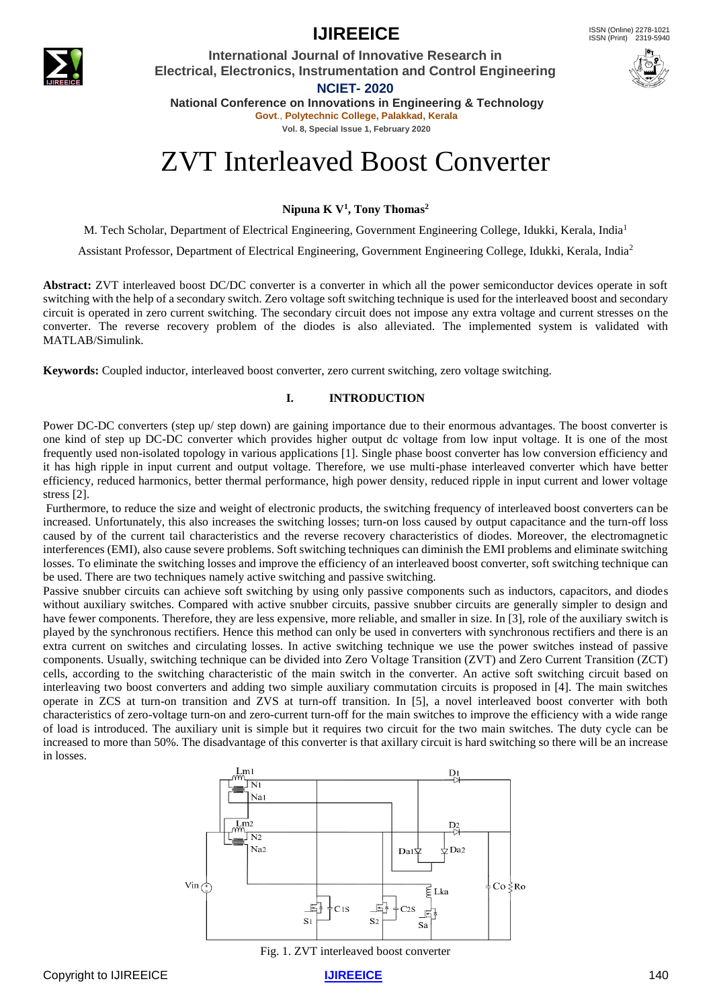

### **IJIREEICE** ISSN (Online)  $2278-1021$

**International Journal of Innovative Research in Electrical, Electronics, Instrumentation and Control Engineering**



**NCIET- 2020 National Conference on Innovations in Engineering & Technology**

**Govt**., **Polytechnic College, Palakkad, Kerala Vol. 8, Special Issue 1, February 2020**

# ZVT Interleaved Boost Converter

**Nipuna K V<sup>1</sup> , Tony Thomas<sup>2</sup>**

M. Tech Scholar, Department of Electrical Engineering, Government Engineering College, Idukki, Kerala, India<sup>1</sup>

Assistant Professor, Department of Electrical Engineering, Government Engineering College, Idukki, Kerala, India<sup>2</sup>

**Abstract:** ZVT interleaved boost DC/DC converter is a converter in which all the power semiconductor devices operate in soft switching with the help of a secondary switch. Zero voltage soft switching technique is used for the interleaved boost and secondary circuit is operated in zero current switching. The secondary circuit does not impose any extra voltage and current stresses on the converter. The reverse recovery problem of the diodes is also alleviated. The implemented system is validated with MATLAB/Simulink.

**Keywords:** Coupled inductor, interleaved boost converter, zero current switching, zero voltage switching.

### **I. INTRODUCTION**

Power DC-DC converters (step up/ step down) are gaining importance due to their enormous advantages. The boost converter is one kind of step up DC-DC converter which provides higher output dc voltage from low input voltage. It is one of the most frequently used non-isolated topology in various applications [1]. Single phase boost converter has low conversion efficiency and it has high ripple in input current and output voltage. Therefore, we use multi-phase interleaved converter which have better efficiency, reduced harmonics, better thermal performance, high power density, reduced ripple in input current and lower voltage stress [2].

Furthermore, to reduce the size and weight of electronic products, the switching frequency of interleaved boost converters can be increased. Unfortunately, this also increases the switching losses; turn-on loss caused by output capacitance and the turn-off loss caused by of the current tail characteristics and the reverse recovery characteristics of diodes. Moreover, the electromagnetic interferences (EMI), also cause severe problems. Soft switching techniques can diminish the EMI problems and eliminate switching losses. To eliminate the switching losses and improve the efficiency of an interleaved boost converter, soft switching technique can be used. There are two techniques namely active switching and passive switching.

Passive snubber circuits can achieve soft switching by using only passive components such as inductors, capacitors, and diodes without auxiliary switches. Compared with active snubber circuits, passive snubber circuits are generally simpler to design and have fewer components. Therefore, they are less expensive, more reliable, and smaller in size. In [3], role of the auxiliary switch is played by the synchronous rectifiers. Hence this method can only be used in converters with synchronous rectifiers and there is an extra current on switches and circulating losses. In active switching technique we use the power switches instead of passive components. Usually, switching technique can be divided into Zero Voltage Transition (ZVT) and Zero Current Transition (ZCT) cells, according to the switching characteristic of the main switch in the converter. An active soft switching circuit based on interleaving two boost converters and adding two simple auxiliary commutation circuits is proposed in [4]. The main switches operate in ZCS at turn-on transition and ZVS at turn-off transition. In [5], a novel interleaved boost converter with both characteristics of zero-voltage turn-on and zero-current turn-off for the main switches to improve the efficiency with a wide range of load is introduced. The auxiliary unit is simple but it requires two circuit for the two main switches. The duty cycle can be increased to more than 50%. The disadvantage of this converter is that axillary circuit is hard switching so there will be an increase in losses.



Fig. 1. ZVT interleaved boost converter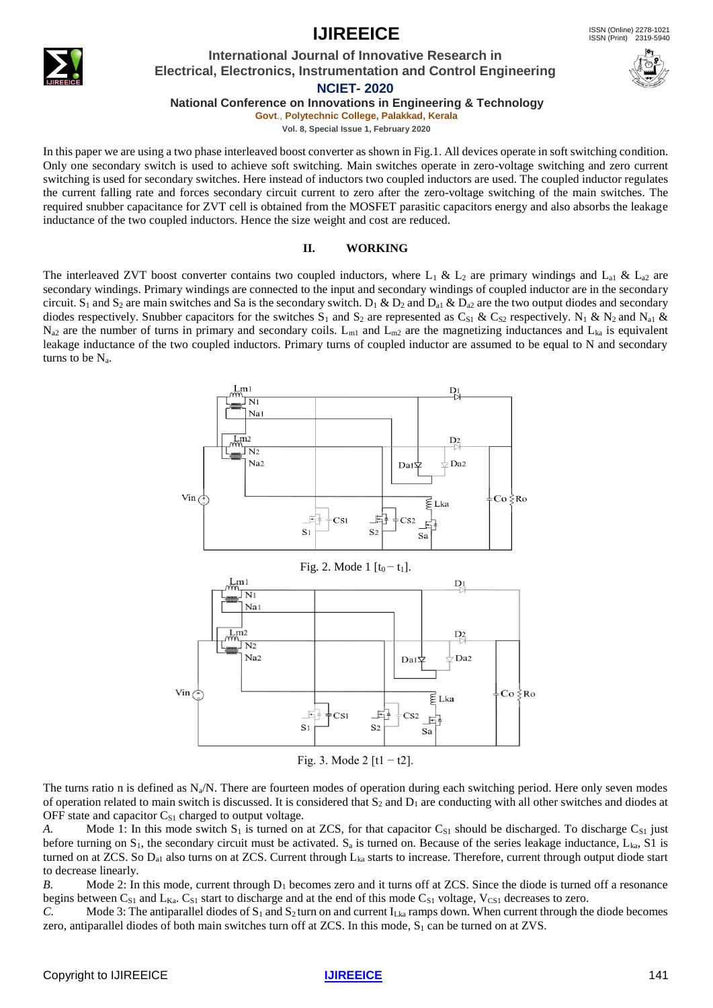**IJIREEICE ISSN** (Online) 2278-1021

### **International Journal of Innovative Research in Electrical, Electronics, Instrumentation and Control Engineering**

**NCIET- 2020**

**National Conference on Innovations in Engineering & Technology**

**Govt**., **Polytechnic College, Palakkad, Kerala Vol. 8, Special Issue 1, February 2020**

In this paper we are using a two phase interleaved boost converter as shown in Fig.1. All devices operate in soft switching condition. Only one secondary switch is used to achieve soft switching. Main switches operate in zero-voltage switching and zero current switching is used for secondary switches. Here instead of inductors two coupled inductors are used. The coupled inductor regulates the current falling rate and forces secondary circuit current to zero after the zero-voltage switching of the main switches. The required snubber capacitance for ZVT cell is obtained from the MOSFET parasitic capacitors energy and also absorbs the leakage inductance of the two coupled inductors. Hence the size weight and cost are reduced.

### **II. WORKING**

The interleaved ZVT boost converter contains two coupled inductors, where L<sub>1</sub> & L<sub>2</sub> are primary windings and L<sub>a1</sub> & L<sub>a2</sub> are secondary windings. Primary windings are connected to the input and secondary windings of coupled inductor are in the secondary circuit. S<sub>1</sub> and S<sub>2</sub> are main switches and Sa is the secondary switch. D<sub>1</sub> & D<sub>2</sub> and D<sub>a1</sub> & D<sub>a2</sub> are the two output diodes and secondary diodes respectively. Snubber capacitors for the switches S<sub>1</sub> and S<sub>2</sub> are represented as C<sub>S1</sub> & C<sub>S2</sub> respectively. N<sub>1</sub> & N<sub>2</sub> and N<sub>a1</sub> &  $N_{a2}$  are the number of turns in primary and secondary coils.  $L_{m1}$  and  $L_{m2}$  are the magnetizing inductances and  $L_{ka}$  is equivalent leakage inductance of the two coupled inductors. Primary turns of coupled inductor are assumed to be equal to N and secondary turns to be  $N_a$ .



Fig. 3. Mode 2  $[t1 - t2]$ .

The turns ratio n is defined as  $N_a/N$ . There are fourteen modes of operation during each switching period. Here only seven modes of operation related to main switch is discussed. It is considered that  $S_2$  and  $D_1$  are conducting with all other switches and diodes at OFF state and capacitor  $C_{S1}$  charged to output voltage.

*A.* Mode 1: In this mode switch  $S_1$  is turned on at ZCS, for that capacitor  $C_{S1}$  should be discharged. To discharge  $C_{S1}$  just before turning on  $S_1$ , the secondary circuit must be activated.  $S_a$  is turned on. Because of the series leakage inductance,  $L_{ka}$ , S1 is turned on at ZCS. So  $D_{a1}$  also turns on at ZCS. Current through  $L_{ka}$  starts to increase. Therefore, current through output diode start to decrease linearly.

*B.* Mode 2: In this mode, current through D<sub>1</sub> becomes zero and it turns off at ZCS. Since the diode is turned off a resonance begins between  $C_{S1}$  and  $L_{Ka}$ .  $C_{S1}$  start to discharge and at the end of this mode  $C_{S1}$  voltage,  $V_{CS1}$  decreases to zero.

*C.* Mode 3: The antiparallel diodes of  $S_1$  and  $S_2$  turn on and current  $I_{Lka}$  ramps down. When current through the diode becomes zero, antiparallel diodes of both main switches turn off at ZCS. In this mode,  $S_1$  can be turned on at ZVS.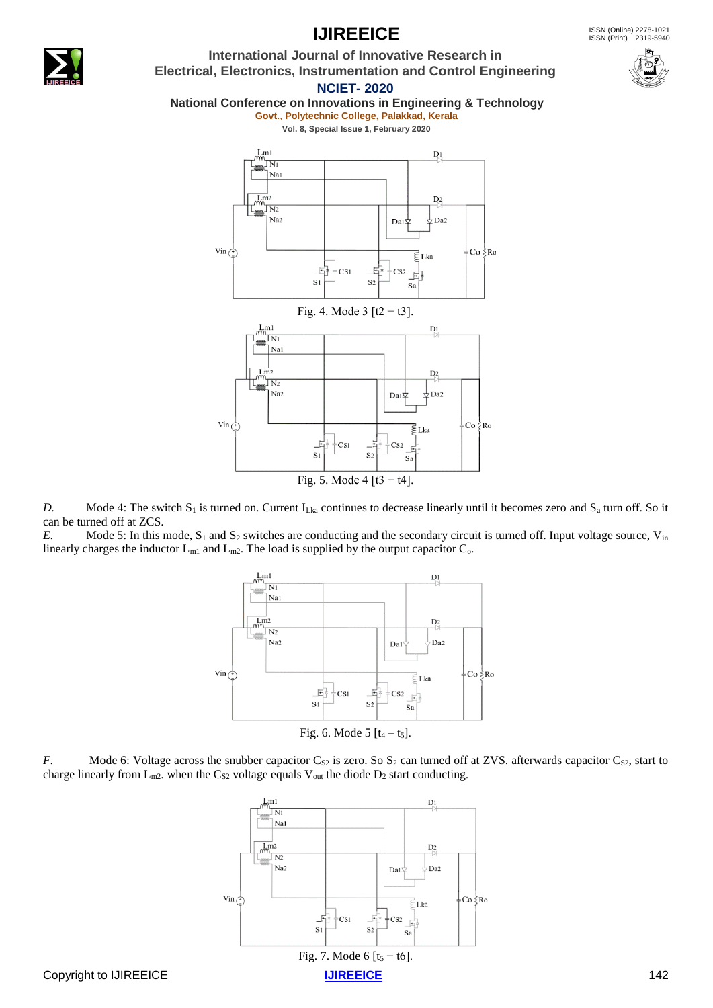

### *D.* Mode 4: The switch  $S_1$  is turned on. Current  $I_{Lka}$  continues to decrease linearly until it becomes zero and  $S_a$  turn off. So it can be turned off at ZCS.

*E.* Mode 5: In this mode, S<sub>1</sub> and S<sub>2</sub> switches are conducting and the secondary circuit is turned off. Input voltage source, V<sub>in</sub> linearly charges the inductor  $L_{m1}$  and  $L_{m2}$ . The load is supplied by the output capacitor  $C_{o}$ .







## **IJIREEICE ISSN** (Online) 2278-1021



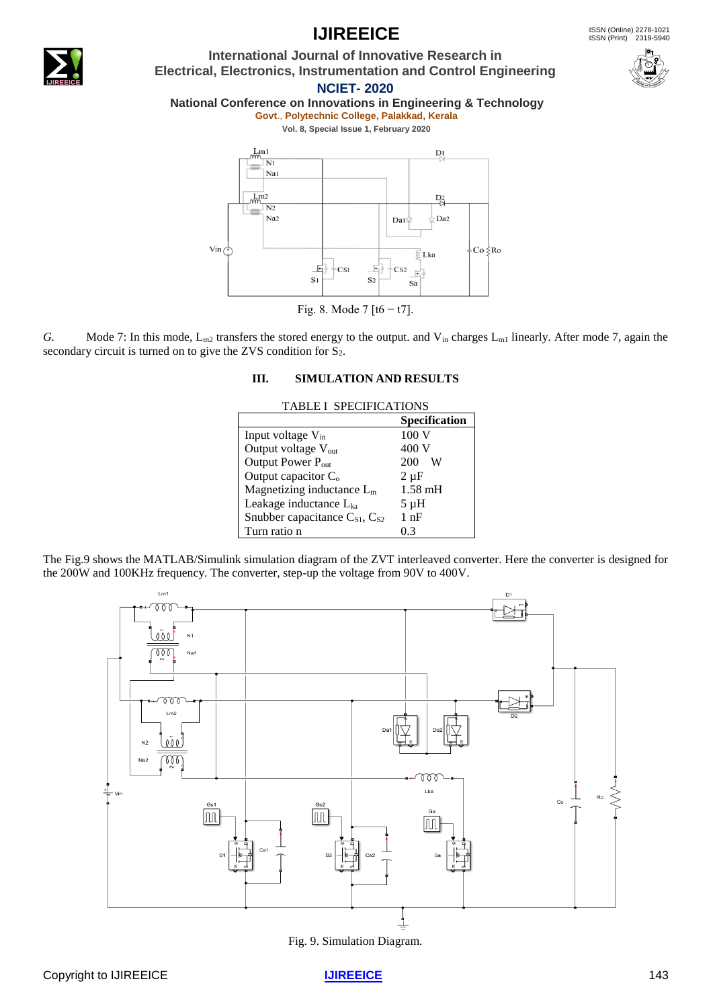

### **IJIREEICE ISSN** (Online) 2278-1021

**International Journal of Innovative Research in Electrical, Electronics, Instrumentation and Control Engineering**



**NCIET- 2020**

### **National Conference on Innovations in Engineering & Technology**

**Govt**., **Polytechnic College, Palakkad, Kerala**

**Vol. 8, Special Issue 1, February 2020**



Fig. 8. Mode 7  $[16 - 17]$ .

*G.* Mode 7: In this mode,  $L_{m2}$  transfers the stored energy to the output. and  $V_{in}$  charges  $L_{m1}$  linearly. After mode 7, again the secondary circuit is turned on to give the ZVS condition for  $S_2$ .

### **III. SIMULATION AND RESULTS**

| <b>TABLE I SPECIFICATIONS</b>                         |                      |
|-------------------------------------------------------|----------------------|
|                                                       | <b>Specification</b> |
| Input voltage $V_{in}$                                | 100 V                |
| Output voltage V <sub>out</sub>                       | 400 V                |
| Output Power P <sub>out</sub>                         | 200<br>W             |
| Output capacitor $C_0$                                | $2 \mu F$            |
| Magnetizing inductance $L_m$                          | $1.58$ mH            |
| Leakage inductance $L_{ka}$                           | $5 \mu H$            |
| Snubber capacitance C <sub>S1</sub> , C <sub>S2</sub> | 1 nF                 |
| Turn ratio n                                          | 0.3                  |

The Fig.9 shows the MATLAB/Simulink simulation diagram of the ZVT interleaved converter. Here the converter is designed for the 200W and 100KHz frequency. The converter, step-up the voltage from 90V to 400V.



Fig. 9. Simulation Diagram.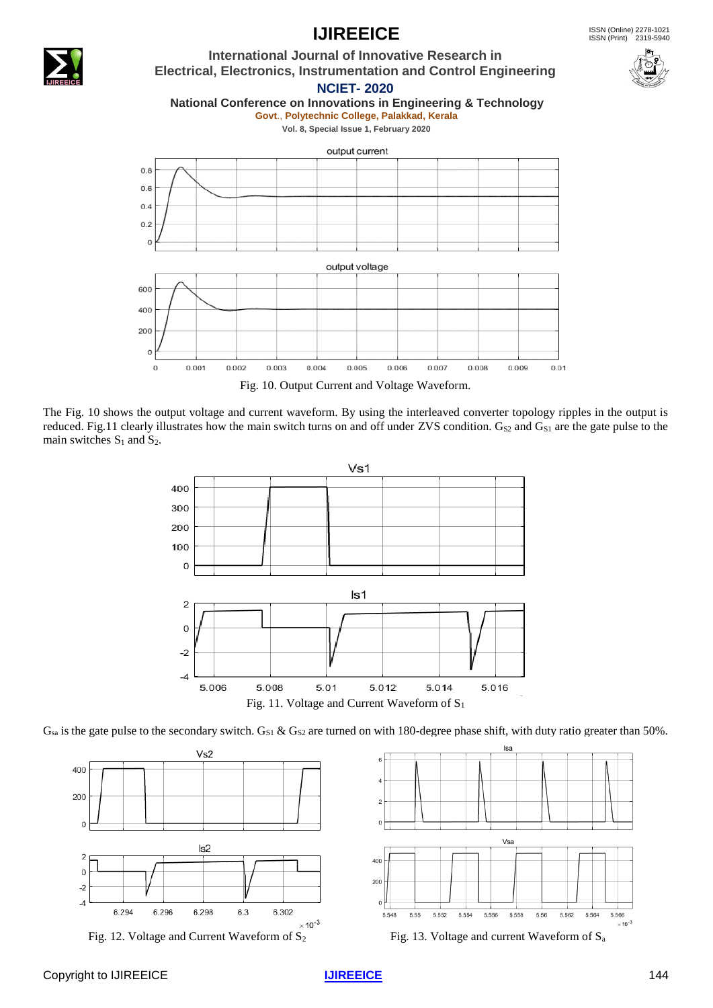

The Fig. 10 shows the output voltage and current waveform. By using the interleaved converter topology ripples in the output is reduced. Fig.11 clearly illustrates how the main switch turns on and off under ZVS condition. G<sub>S2</sub> and G<sub>S1</sub> are the gate pulse to the main switches  $S_1$  and  $S_2$ .



 $G_{sa}$  is the gate pulse to the secondary switch.  $G_{S1}$  &  $G_{S2}$  are turned on with 180-degree phase shift, with duty ratio greater than 50%.